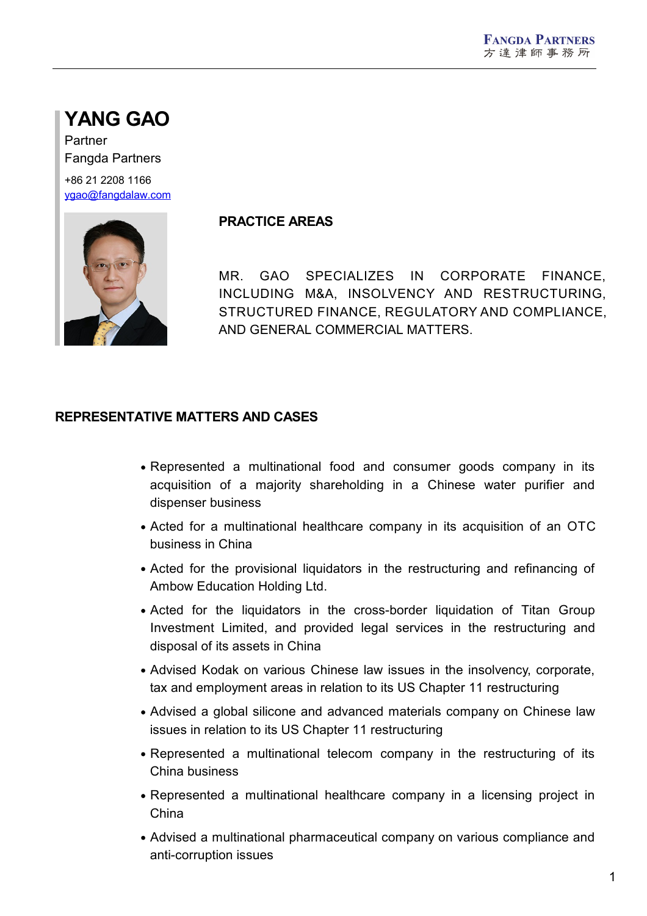# **YANG GAO**

Partner Fangda Partners +86 21 2208 1166 [ygao@fangdalaw.com](mailto:ygao@fangdalaw.com)



#### **PRACTICE AREAS**

MR. GAO SPECIALIZES IN CORPORATE FINANCE, INCLUDING M&A, INSOLVENCY AND RESTRUCTURING, STRUCTURED FINANCE, REGULATORY AND COMPLIANCE, AND GENERAL COMMERCIAL MATTERS.

#### **REPRESENTATIVE MATTERS AND CASES**

- Represented a multinational food and consumer goods company in its acquisition of a majority shareholding in a Chinese water purifier and dispenser business
- Acted for a multinational healthcare company in its acquisition of an OTC business in China
- Acted for the provisional liquidators in the restructuring and refinancing of Ambow Education Holding Ltd.
- Acted for the liquidators in the cross-border liquidation of Titan Group Investment Limited, and provided legal services in the restructuring and disposal of its assets in China
- Advised Kodak on various Chinese law issues in the insolvency, corporate, tax and employment areas in relation to its US Chapter 11 restructuring
- Advised a global silicone and advanced materials company on Chinese law issues in relation to its US Chapter 11 restructuring
- Represented a multinational telecom company in the restructuring of its China business
- Represented a multinational healthcare company in a licensing project in China
- Advised a multinational pharmaceutical company on various compliance and anti-corruption issues